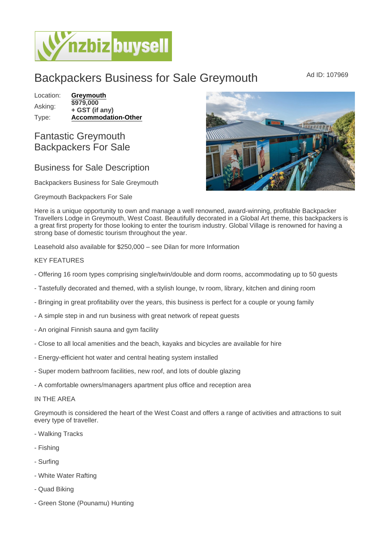# Backpackers Business for Sale Greymouth Ad ID: 107969

Location: [Greymouth](https://www.nzbizbuysell.co.nz/businesses-for-sale/location/Greymouth) Asking: \$979,000 + GST (if any) Type: [Accommodation-Other](https://www.nzbizbuysell.co.nz/businesses-for-sale/Accommodation-Other/New-Zealand)

## Fantastic Greymouth Backpackers For Sale

## Business for Sale Description

Backpackers Business for Sale Greymouth

Greymouth Backpackers For Sale

Here is a unique opportunity to own and manage a well renowned, award-winning, profitable Backpacker Travellers Lodge in Greymouth, West Coast. Beautifully decorated in a Global Art theme, this backpackers is a great first property for those looking to enter the tourism industry. Global Village is renowned for having a strong base of domestic tourism throughout the year.

Leasehold also available for \$250,000 – see Dilan for more Information

### KEY FEATURES

- Offering 16 room types comprising single/twin/double and dorm rooms, accommodating up to 50 guests
- Tastefully decorated and themed, with a stylish lounge, tv room, library, kitchen and dining room
- Bringing in great profitability over the years, this business is perfect for a couple or young family
- A simple step in and run business with great network of repeat guests
- An original Finnish sauna and gym facility
- Close to all local amenities and the beach, kayaks and bicycles are available for hire
- Energy-efficient hot water and central heating system installed
- Super modern bathroom facilities, new roof, and lots of double glazing
- A comfortable owners/managers apartment plus office and reception area

#### IN THE AREA

Greymouth is considered the heart of the West Coast and offers a range of activities and attractions to suit every type of traveller.

- Walking Tracks
- Fishing
- Surfing
- White Water Rafting
- Quad Biking
- Green Stone (Pounamu) Hunting